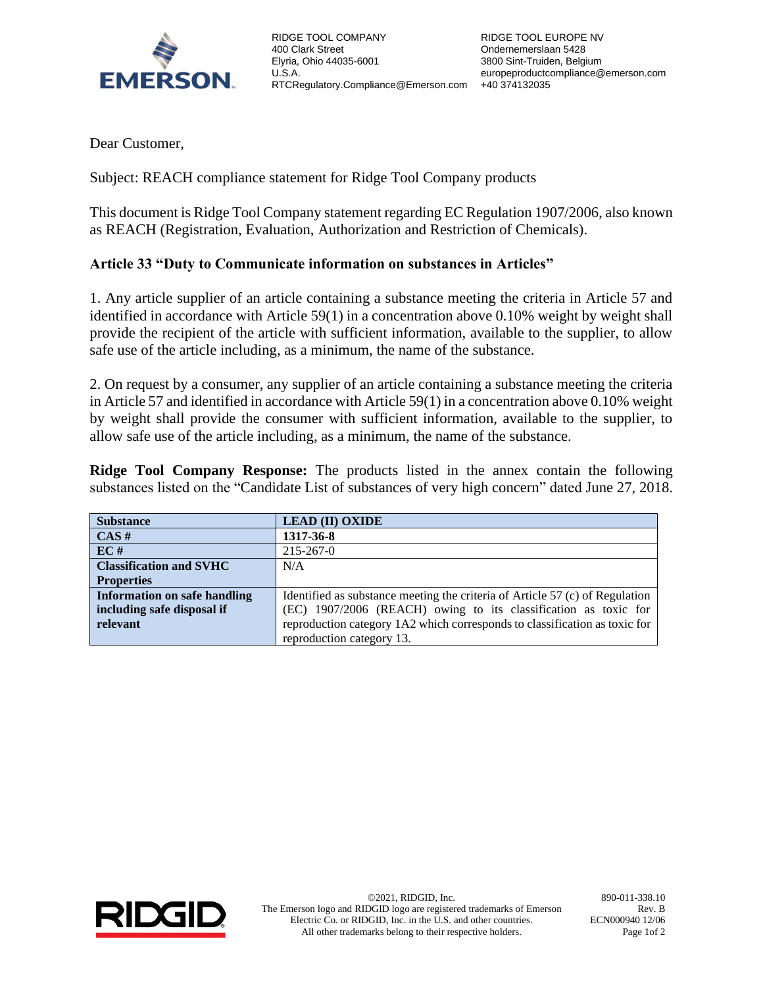

RIDGE TOOL COMPANY 400 Clark Street Elyria, Ohio 44035-6001 U.S.A. RTCRegulatory.Compliance@Emerson.com +40 374132035

Dear Customer,

Subject: REACH compliance statement for Ridge Tool Company products

This document is Ridge Tool Company statement regarding EC Regulation 1907/2006, also known as REACH (Registration, Evaluation, Authorization and Restriction of Chemicals).

## **Article 33 "Duty to Communicate information on substances in Articles"**

1. Any article supplier of an article containing a substance meeting the criteria in Article 57 and identified in accordance with Article 59(1) in a concentration above 0.10% weight by weight shall provide the recipient of the article with sufficient information, available to the supplier, to allow safe use of the article including, as a minimum, the name of the substance.

2. On request by a consumer, any supplier of an article containing a substance meeting the criteria in Article 57 and identified in accordance with Article 59(1) in a concentration above 0.10% weight by weight shall provide the consumer with sufficient information, available to the supplier, to allow safe use of the article including, as a minimum, the name of the substance.

**Ridge Tool Company Response:** The products listed in the annex contain the following substances listed on the "Candidate List of substances of very high concern" dated June 27, 2018.

| <b>Substance</b>                    | <b>LEAD (II) OXIDE</b>                                                       |
|-------------------------------------|------------------------------------------------------------------------------|
| CAS#                                | 1317-36-8                                                                    |
| EC#                                 | 215-267-0                                                                    |
| <b>Classification and SVHC</b>      | N/A                                                                          |
| <b>Properties</b>                   |                                                                              |
| <b>Information on safe handling</b> | Identified as substance meeting the criteria of Article 57 (c) of Regulation |
| including safe disposal if          | (EC) 1907/2006 (REACH) owing to its classification as toxic for              |
| relevant                            | reproduction category 1A2 which corresponds to classification as toxic for   |
|                                     | reproduction category 13.                                                    |